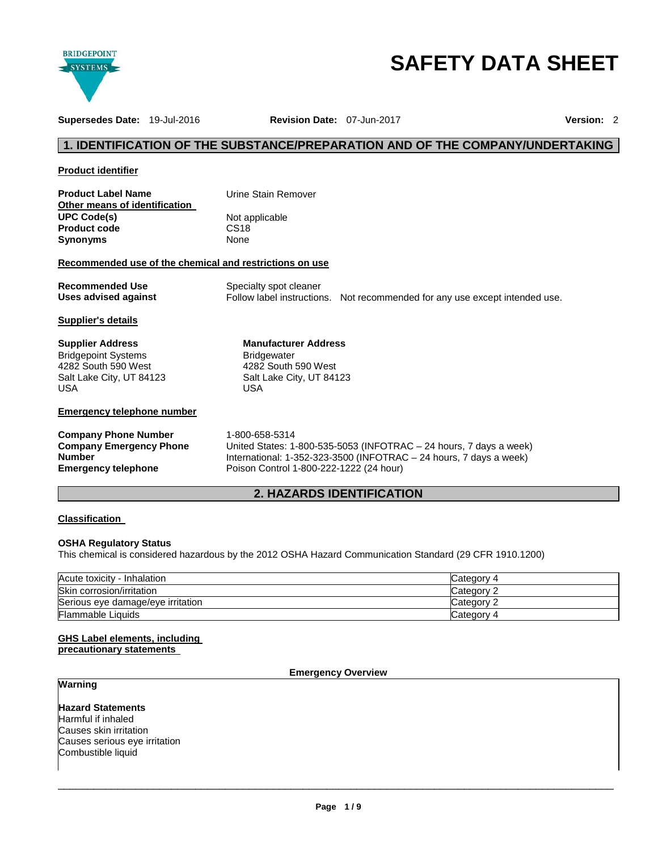

# **SAFETY DATA SHEET**

**Supersedes Date:** 19-Jul-2016 **Revision Date:** 07-Jun-2017 **Version:** 2

# **1. IDENTIFICATION OF THE SUBSTANCE/PREPARATION AND OF THE COMPANY/UNDERTAKING**

#### **Product identifier**

| <b>Product Label Name</b>     | Urine Stain Remover |  |  |
|-------------------------------|---------------------|--|--|
| Other means of identification |                     |  |  |
| <b>UPC Code(s)</b>            | Not applicable      |  |  |
| <b>Product code</b>           | CS <sub>18</sub>    |  |  |
| <b>Synonyms</b>               | None                |  |  |

## **Recommended use of the chemical and restrictions on use**

| <b>Recommended Use</b> | Specialty spot cleaner |                                                                             |
|------------------------|------------------------|-----------------------------------------------------------------------------|
| Uses advised against   |                        | Follow label instructions. Not recommended for any use except intended use. |

**Manufacturer Address**

4282 South 590 West Salt Lake City, UT 84123

Bridgewater

USA

#### **Supplier's details**

**Supplier Address** Bridgepoint Systems 4282 South 590 West Salt Lake City, UT 84123 USA

### **Emergency telephone number**

# **Company Phone Number** 1-800-658-5314 **Company Emergency Phone Number**

United States: 1-800-535-5053 (INFOTRAC – 24 hours, 7 days a week) International: 1-352-323-3500 (INFOTRAC – 24 hours, 7 days a week) Poison Control 1-800-222-1222 (24 hour)

# **2. HAZARDS IDENTIFICATION**

### **Classification**

## **OSHA Regulatory Status**

This chemical is considered hazardous by the 2012 OSHA Hazard Communication Standard (29 CFR 1910.1200)

| Acute toxicity - Inhalation       | Category 4 |
|-----------------------------------|------------|
| Skin corrosion/irritation         | Category 2 |
| Serious eye damage/eye irritation | Category 2 |
| Flammable Liquids                 | Category 4 |

#### **GHS Label elements, including precautionary statements**

**Emergency Overview** 

# **Warning**

**Hazard Statements** Harmful if inhaled Causes skin irritation Causes serious eye irritation Combustible liquid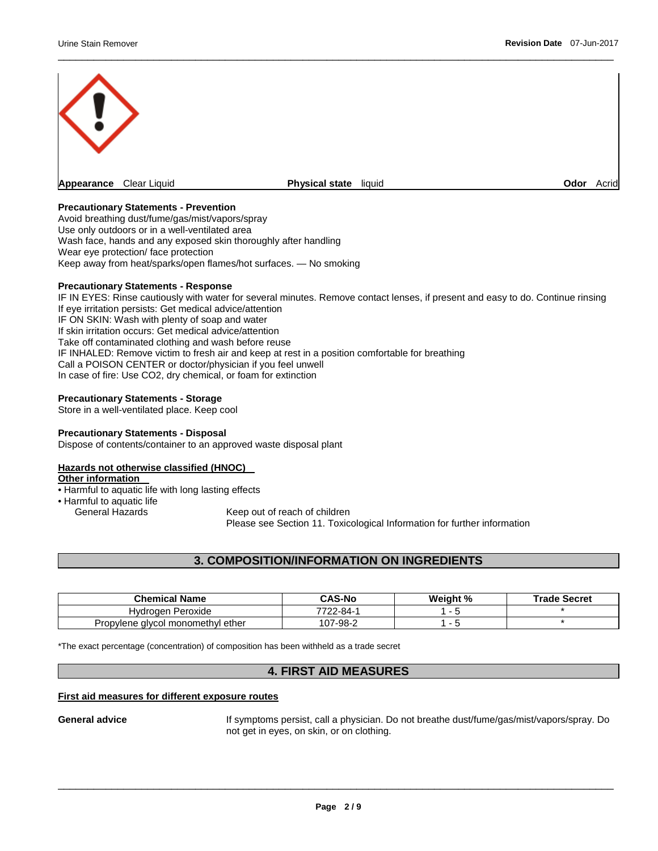

\_\_\_\_\_\_\_\_\_\_\_\_\_\_\_\_\_\_\_\_\_\_\_\_\_\_\_\_\_\_\_\_\_\_\_\_\_\_\_\_\_\_\_\_\_\_\_\_\_\_\_\_\_\_\_\_\_\_\_\_\_\_\_\_\_\_\_\_\_\_\_\_\_\_\_\_\_\_\_\_\_\_\_\_\_\_\_\_\_\_\_\_\_

## **Precautionary Statements - Prevention**

Avoid breathing dust/fume/gas/mist/vapors/spray Use only outdoors or in a well-ventilated area Wash face, hands and any exposed skin thoroughly after handling Wear eye protection/ face protection Keep away from heat/sparks/open flames/hot surfaces. — No smoking

#### **Precautionary Statements - Response**

IF IN EYES: Rinse cautiously with water for several minutes. Remove contact lenses, if present and easy to do. Continue rinsing If eye irritation persists: Get medical advice/attention IF ON SKIN: Wash with plenty of soap and water If skin irritation occurs: Get medical advice/attention Take off contaminated clothing and wash before reuse IF INHALED: Remove victim to fresh air and keep at rest in a position comfortable for breathing Call a POISON CENTER or doctor/physician if you feel unwell In case of fire: Use CO2, dry chemical, or foam for extinction

#### **Precautionary Statements - Storage**

Store in a well-ventilated place. Keep cool

#### **Precautionary Statements - Disposal**

Dispose of contents/container to an approved waste disposal plant

#### **Hazards not otherwise classified (HNOC)**

#### **Other information**

• Harmful to aquatic life with long lasting effects

- Harmful to aquatic life<br>General Hazards
	-

Keep out of reach of children Please see Section 11. Toxicological Information for further information

## **3. COMPOSITION/INFORMATION ON INGREDIENTS**

| <b>Chemical Name</b>              | <b>CAS-No</b> | Weight % | <b>Trade Secret</b> |
|-----------------------------------|---------------|----------|---------------------|
| Peroxide<br>Hvdroaen              | 7722-84-1     |          |                     |
| Propylene givcol monomethyl ether | 107-98-2      |          |                     |

\*The exact percentage (concentration) of composition has been withheld as a trade secret

### **4. FIRST AID MEASURES**

#### **First aid measures for different exposure routes**

General advice **If symptoms persist, call a physician**. Do not breathe dust/fume/gas/mist/vapors/spray. Do not get in eyes, on skin, or on clothing.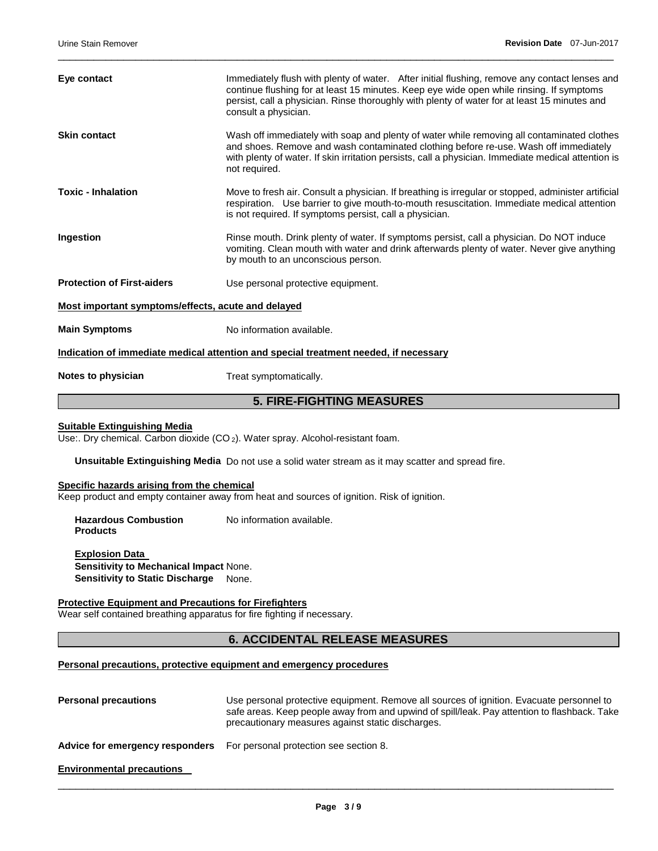| Eye contact                                                                          | Immediately flush with plenty of water. After initial flushing, remove any contact lenses and<br>continue flushing for at least 15 minutes. Keep eye wide open while rinsing. If symptoms<br>persist, call a physician. Rinse thoroughly with plenty of water for at least 15 minutes and<br>consult a physician. |  |
|--------------------------------------------------------------------------------------|-------------------------------------------------------------------------------------------------------------------------------------------------------------------------------------------------------------------------------------------------------------------------------------------------------------------|--|
| <b>Skin contact</b>                                                                  | Wash off immediately with soap and plenty of water while removing all contaminated clothes<br>and shoes. Remove and wash contaminated clothing before re-use. Wash off immediately<br>with plenty of water. If skin irritation persists, call a physician. Immediate medical attention is<br>not required.        |  |
| <b>Toxic - Inhalation</b>                                                            | Move to fresh air. Consult a physician. If breathing is irregular or stopped, administer artificial<br>respiration. Use barrier to give mouth-to-mouth resuscitation. Immediate medical attention<br>is not required. If symptoms persist, call a physician.                                                      |  |
| Ingestion                                                                            | Rinse mouth. Drink plenty of water. If symptoms persist, call a physician. Do NOT induce<br>vomiting. Clean mouth with water and drink afterwards plenty of water. Never give anything<br>by mouth to an unconscious person.                                                                                      |  |
| <b>Protection of First-aiders</b>                                                    | Use personal protective equipment.                                                                                                                                                                                                                                                                                |  |
| Most important symptoms/effects, acute and delayed                                   |                                                                                                                                                                                                                                                                                                                   |  |
| <b>Main Symptoms</b>                                                                 | No information available.                                                                                                                                                                                                                                                                                         |  |
| Indication of immediate medical attention and special treatment needed, if necessary |                                                                                                                                                                                                                                                                                                                   |  |
| Notes to physician                                                                   | Treat symptomatically.                                                                                                                                                                                                                                                                                            |  |

\_\_\_\_\_\_\_\_\_\_\_\_\_\_\_\_\_\_\_\_\_\_\_\_\_\_\_\_\_\_\_\_\_\_\_\_\_\_\_\_\_\_\_\_\_\_\_\_\_\_\_\_\_\_\_\_\_\_\_\_\_\_\_\_\_\_\_\_\_\_\_\_\_\_\_\_\_\_\_\_\_\_\_\_\_\_\_\_\_\_\_\_\_

# **5. FIRE-FIGHTING MEASURES**

## **Suitable Extinguishing Media**

Use:. Dry chemical. Carbon dioxide (CO<sub>2</sub>). Water spray. Alcohol-resistant foam.

**Unsuitable Extinguishing Media** Do not use a solid water stream as it may scatter and spread fire.

# **Specific hazards arising from the chemical**

Keep product and empty container away from heat and sources of ignition. Risk of ignition.

| <b>Hazardous Combustion</b> | No information available. |
|-----------------------------|---------------------------|
| <b>Products</b>             |                           |

**Explosion Data Sensitivity to Mechanical Impact** None. **Sensitivity to Static Discharge** None.

## **Protective Equipment and Precautions for Firefighters**

Wear self contained breathing apparatus for fire fighting if necessary.

## **6. ACCIDENTAL RELEASE MEASURES**

## **Personal precautions, protective equipment and emergency procedures**

**Personal precautions** Use personal protective equipment. Remove all sources of ignition. Evacuate personnel to safe areas. Keep people away from and upwind of spill/leak. Pay attention to flashback. Take precautionary measures against static discharges. **Advice for emergency responders** For personal protection see section 8. **Environmental precautions**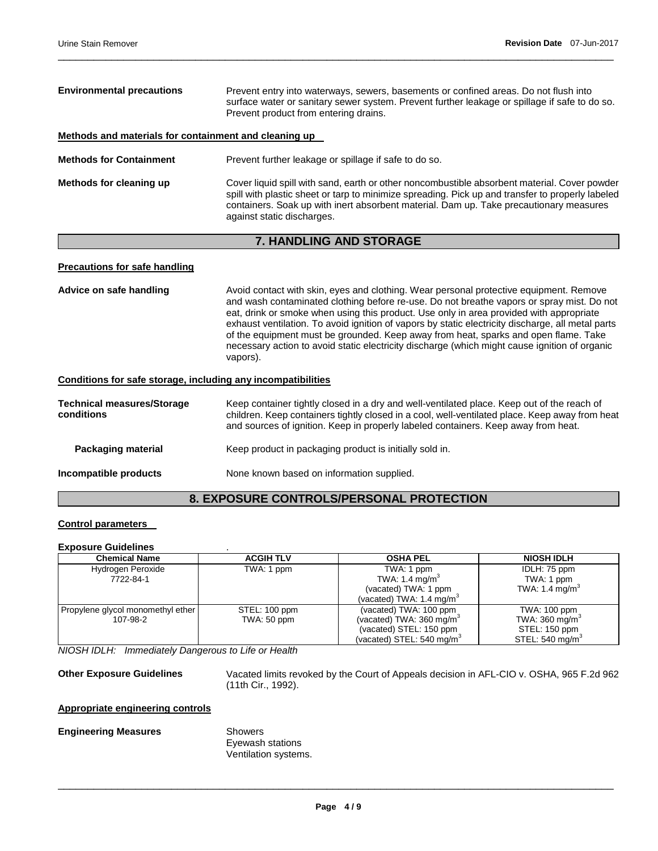| <b>Environmental precautions</b>                      | Prevent entry into waterways, sewers, basements or confined areas. Do not flush into<br>surface water or sanitary sewer system. Prevent further leakage or spillage if safe to do so.<br>Prevent product from entering drains.                                                                                           |  |
|-------------------------------------------------------|--------------------------------------------------------------------------------------------------------------------------------------------------------------------------------------------------------------------------------------------------------------------------------------------------------------------------|--|
| Methods and materials for containment and cleaning up |                                                                                                                                                                                                                                                                                                                          |  |
| <b>Methods for Containment</b>                        | Prevent further leakage or spillage if safe to do so.                                                                                                                                                                                                                                                                    |  |
| Methods for cleaning up                               | Cover liquid spill with sand, earth or other noncombustible absorbent material. Cover powder<br>spill with plastic sheet or tarp to minimize spreading. Pick up and transfer to properly labeled<br>containers. Soak up with inert absorbent material. Dam up. Take precautionary measures<br>against static discharges. |  |

\_\_\_\_\_\_\_\_\_\_\_\_\_\_\_\_\_\_\_\_\_\_\_\_\_\_\_\_\_\_\_\_\_\_\_\_\_\_\_\_\_\_\_\_\_\_\_\_\_\_\_\_\_\_\_\_\_\_\_\_\_\_\_\_\_\_\_\_\_\_\_\_\_\_\_\_\_\_\_\_\_\_\_\_\_\_\_\_\_\_\_\_\_

# **7. HANDLING AND STORAGE**

#### **Precautions for safe handling**

Advice on safe handling **Avoid contact with skin, eyes and clothing.** Wear personal protective equipment. Remove and wash contaminated clothing before re-use. Do not breathe vapors or spray mist. Do not eat, drink or smoke when using this product. Use only in area provided with appropriate exhaust ventilation. To avoid ignition of vapors by static electricity discharge, all metal parts of the equipment must be grounded. Keep away from heat, sparks and open flame. Take necessary action to avoid static electricity discharge (which might cause ignition of organic vapors). **Conditions for safe storage, including any incompatibilities Technical measures/Storage conditions**  Keep container tightly closed in a dry and well-ventilated place. Keep out of the reach of children. Keep containers tightly closed in a cool, well-ventilated place. Keep away from heat and sources of ignition. Keep in properly labeled containers. Keep away from heat.

**Packaging material Keep product in packaging product is initially sold in.** 

**Incompatible products** None known based on information supplied.

# **8. EXPOSURE CONTROLS/PERSONAL PROTECTION**

### **Control parameters**

#### **Exposure Guidelines** .

| <b>Chemical Name</b>              | <b>ACGIH TLV</b> | <b>OSHA PEL</b>                       | <b>NIOSH IDLH</b>           |
|-----------------------------------|------------------|---------------------------------------|-----------------------------|
| Hydrogen Peroxide                 | TWA: 1 ppm       | TWA: 1 ppm                            | IDLH: 75 ppm                |
| 7722-84-1                         |                  | TWA: 1.4 mg/m <sup>3</sup>            | TWA: 1 ppm                  |
|                                   |                  | (vacated) TWA: 1 ppm                  | TWA: 1.4 mg/m <sup>3</sup>  |
|                                   |                  | (vacated) TWA: 1.4 mg/m $3$           |                             |
| Propylene glycol monomethyl ether | STEL: 100 ppm    | (vacated) TWA: 100 ppm                | TWA: 100 ppm                |
| 107-98-2                          | TWA: 50 ppm      | (vacated) TWA: 360 mg/m <sup>3</sup>  | TWA: 360 mg/m <sup>3</sup>  |
|                                   |                  | (vacated) STEL: 150 ppm               | STEL: 150 ppm               |
|                                   |                  | (vacated) STEL: 540 mg/m <sup>3</sup> | STEL: 540 mg/m <sup>3</sup> |

*NIOSH IDLH: Immediately Dangerous to Life or Health* 

**Other Exposure Guidelines** Vacated limits revoked by the Court of Appeals decision in AFL-CIO v. OSHA, 965 F.2d 962 (11th Cir., 1992).

# **Appropriate engineering controls**

**Engineering Measures Showers** 

Eyewash stations Ventilation systems.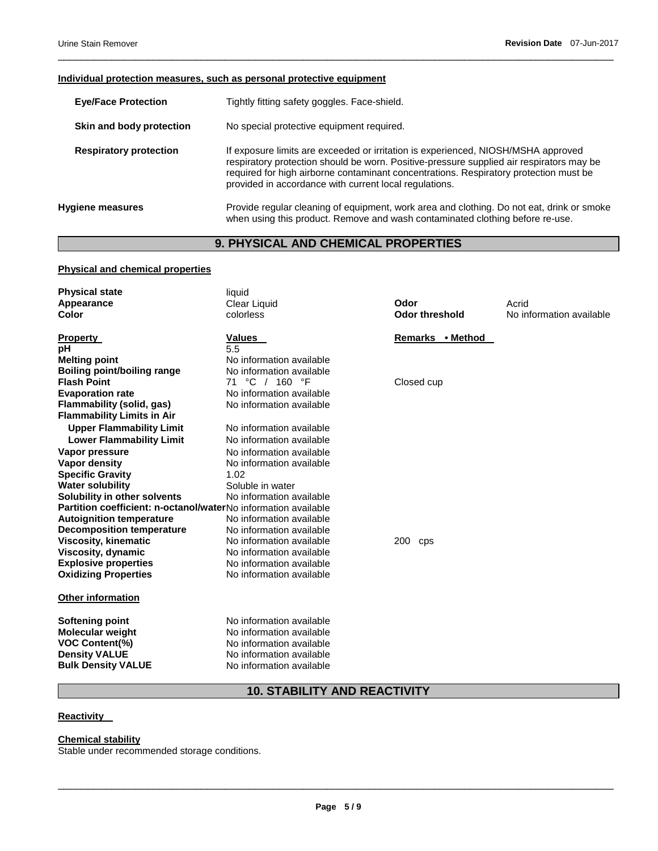#### **Individual protection measures, such as personal protective equipment**

| <b>Eye/Face Protection</b> | Tightly fitting safety goggles. Face-shield. |
|----------------------------|----------------------------------------------|
|                            |                                              |

- **Skin and body protection** No special protective equipment required.
- **Respiratory protection** If exposure limits are exceeded or irritation is experienced, NIOSH/MSHA approved respiratory protection should be worn. Positive-pressure supplied air respirators may be required for high airborne contaminant concentrations. Respiratory protection must be provided in accordance with current local regulations.

\_\_\_\_\_\_\_\_\_\_\_\_\_\_\_\_\_\_\_\_\_\_\_\_\_\_\_\_\_\_\_\_\_\_\_\_\_\_\_\_\_\_\_\_\_\_\_\_\_\_\_\_\_\_\_\_\_\_\_\_\_\_\_\_\_\_\_\_\_\_\_\_\_\_\_\_\_\_\_\_\_\_\_\_\_\_\_\_\_\_\_\_\_

**Hygiene measures** Provide regular cleaning of equipment, work area and clothing. Do not eat, drink or smoke when using this product. Remove and wash contaminated clothing before re-use.

# **9. PHYSICAL AND CHEMICAL PROPERTIES**

#### **Physical and chemical properties**

| <b>Physical state</b><br>Appearance<br>Color                                                                                    | liquid<br>Clear Liquid<br>colorless                                                                                                      | Odor<br><b>Odor threshold</b> | Acrid<br>No information available |
|---------------------------------------------------------------------------------------------------------------------------------|------------------------------------------------------------------------------------------------------------------------------------------|-------------------------------|-----------------------------------|
| <b>Property</b>                                                                                                                 | Values                                                                                                                                   | Remarks • Method              |                                   |
| pH                                                                                                                              | 5.5                                                                                                                                      |                               |                                   |
| <b>Melting point</b>                                                                                                            | No information available                                                                                                                 |                               |                                   |
| Boiling point/boiling range<br><b>Flash Point</b>                                                                               | No information available                                                                                                                 |                               |                                   |
| <b>Evaporation rate</b>                                                                                                         | °C / 160 °F<br>71<br>No information available                                                                                            | Closed cup                    |                                   |
| Flammability (solid, gas)                                                                                                       | No information available                                                                                                                 |                               |                                   |
| <b>Flammability Limits in Air</b>                                                                                               |                                                                                                                                          |                               |                                   |
| <b>Upper Flammability Limit</b>                                                                                                 | No information available                                                                                                                 |                               |                                   |
| <b>Lower Flammability Limit</b>                                                                                                 | No information available                                                                                                                 |                               |                                   |
| Vapor pressure                                                                                                                  | No information available                                                                                                                 |                               |                                   |
| Vapor density                                                                                                                   | No information available                                                                                                                 |                               |                                   |
| <b>Specific Gravity</b>                                                                                                         | 1.02                                                                                                                                     |                               |                                   |
| <b>Water solubility</b>                                                                                                         | Soluble in water                                                                                                                         |                               |                                   |
| Solubility in other solvents                                                                                                    | No information available                                                                                                                 |                               |                                   |
| Partition coefficient: n-octanol/waterNo information available                                                                  |                                                                                                                                          |                               |                                   |
| <b>Autoignition temperature</b>                                                                                                 | No information available                                                                                                                 |                               |                                   |
| <b>Decomposition temperature</b>                                                                                                | No information available                                                                                                                 |                               |                                   |
| <b>Viscosity, kinematic</b>                                                                                                     | No information available                                                                                                                 | 200<br>cps                    |                                   |
| <b>Viscosity, dynamic</b>                                                                                                       | No information available                                                                                                                 |                               |                                   |
| <b>Explosive properties</b>                                                                                                     | No information available                                                                                                                 |                               |                                   |
| <b>Oxidizing Properties</b>                                                                                                     | No information available                                                                                                                 |                               |                                   |
| Other information                                                                                                               |                                                                                                                                          |                               |                                   |
| <b>Softening point</b><br><b>Molecular weight</b><br><b>VOC Content(%)</b><br><b>Density VALUE</b><br><b>Bulk Density VALUE</b> | No information available<br>No information available<br>No information available<br>No information available<br>No information available |                               |                                   |

# **10. STABILITY AND REACTIVITY**

## **Reactivity**

**Chemical stability**

Stable under recommended storage conditions.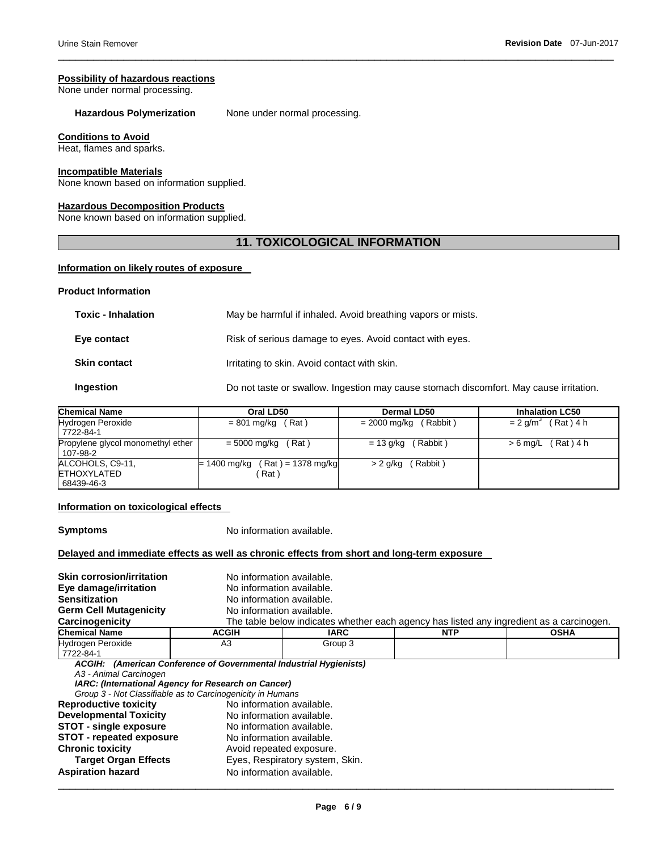#### **Possibility of hazardous reactions**

None under normal processing.

# Hazardous Polymerization None under normal processing.

#### **Conditions to Avoid**

Heat, flames and sparks.

## **Incompatible Materials**

None known based on information supplied.

## **Hazardous Decomposition Products**

None known based on information supplied.

# **11. TOXICOLOGICAL INFORMATION**

\_\_\_\_\_\_\_\_\_\_\_\_\_\_\_\_\_\_\_\_\_\_\_\_\_\_\_\_\_\_\_\_\_\_\_\_\_\_\_\_\_\_\_\_\_\_\_\_\_\_\_\_\_\_\_\_\_\_\_\_\_\_\_\_\_\_\_\_\_\_\_\_\_\_\_\_\_\_\_\_\_\_\_\_\_\_\_\_\_\_\_\_\_

## **Information on likely routes of exposure**

#### **Product Information**

| <b>Toxic - Inhalation</b> | May be harmful if inhaled. Avoid breathing vapors or mists.                            |
|---------------------------|----------------------------------------------------------------------------------------|
| Eye contact               | Risk of serious damage to eyes. Avoid contact with eyes.                               |
| <b>Skin contact</b>       | Irritating to skin. Avoid contact with skin.                                           |
| Ingestion                 | Do not taste or swallow. Ingestion may cause stomach discomfort. May cause irritation. |

| <b>Chemical Name</b>                                 | Oral LD50                                 | Dermal LD50             | <b>Inhalation LC50</b>           |
|------------------------------------------------------|-------------------------------------------|-------------------------|----------------------------------|
| Hydrogen Peroxide<br>7722-84-1                       | $= 801$ mg/kg (Rat)                       | $= 2000$ mg/kg (Rabbit) | $= 2$ g/m <sup>3</sup> (Rat) 4 h |
| Propylene glycol monomethyl ether<br>  107-98-2      | $= 5000$ mg/kg (Rat)                      | $= 13$ g/kg (Rabbit)    | $> 6$ mg/L (Rat) 4 h             |
| ALCOHOLS, C9-11,<br><b>ETHOXYLATED</b><br>68439-46-3 | $= 1400$ mg/kg (Rat) = 1378 mg/kg<br>Rat) | > 2 g/kg (Rabbit)       |                                  |

#### **Information on toxicological effects**

**Symptoms** No information available.

## **Delayed and immediate effects as well as chronic effects from short and long-term exposure**

| <b>Skin corrosion/irritation</b> | No information available.                                          |         |                                                                                          |             |
|----------------------------------|--------------------------------------------------------------------|---------|------------------------------------------------------------------------------------------|-------------|
| Eye damage/irritation            | No information available.                                          |         |                                                                                          |             |
| <b>Sensitization</b>             | No information available.                                          |         |                                                                                          |             |
| <b>Germ Cell Mutagenicity</b>    | No information available.                                          |         |                                                                                          |             |
| Carcinogenicity                  |                                                                    |         | The table below indicates whether each agency has listed any ingredient as a carcinogen. |             |
| <b>Chemical Name</b>             | <b>ACGIH</b>                                                       | IARC    | <b>NTP</b>                                                                               | <b>OSHA</b> |
| Hydrogen Peroxide                | A3                                                                 | Group 3 |                                                                                          |             |
| 7722-84-1                        |                                                                    |         |                                                                                          |             |
|                                  | ACGIH: (American Conference of Governmental Industrial Hygienists) |         |                                                                                          |             |
| A3 - Animal Carcinogen           |                                                                    |         |                                                                                          |             |
|                                  | IARC: (International Agency for Research on Cancer)                |         |                                                                                          |             |
|                                  | Group 3 - Not Classifiable as to Carcinogenicity in Humans         |         |                                                                                          |             |
| <b>Reproductive toxicity</b>     | No information available.                                          |         |                                                                                          |             |
| <b>Developmental Toxicity</b>    | No information available.                                          |         |                                                                                          |             |
| <b>STOT - single exposure</b>    | No information available.                                          |         |                                                                                          |             |
| <b>STOT - repeated exposure</b>  | No information available.                                          |         |                                                                                          |             |
| <b>Chronic toxicity</b>          | Avoid repeated exposure.                                           |         |                                                                                          |             |
| <b>Target Organ Effects</b>      | Eyes, Respiratory system, Skin.                                    |         |                                                                                          |             |
| <b>Aspiration hazard</b>         | No information available.                                          |         |                                                                                          |             |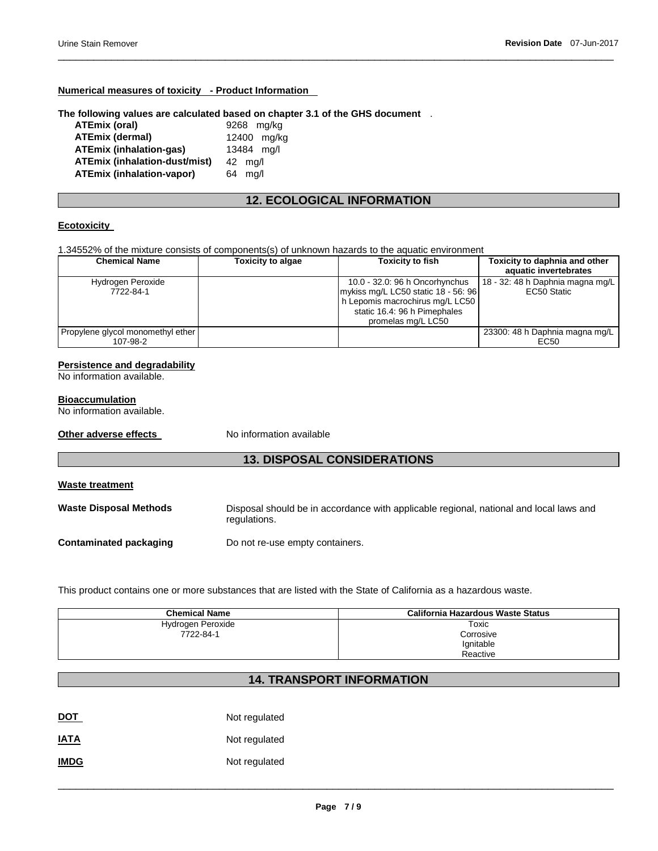## **Numerical measures of toxicity - Product Information**

#### **The following values are calculated based on chapter 3.1 of the GHS document** .

| <b>ATEmix (oral)</b>                 | 9268 mg/kg        |
|--------------------------------------|-------------------|
| <b>ATEmix (dermal)</b>               | 12400 mg/kg       |
| <b>ATEmix (inhalation-gas)</b>       | 13484 mg/l        |
| <b>ATEmix (inhalation-dust/mist)</b> | $42 \text{ ma/l}$ |
| <b>ATEmix (inhalation-vapor)</b>     | 64 ma/l           |

# **12. ECOLOGICAL INFORMATION**

\_\_\_\_\_\_\_\_\_\_\_\_\_\_\_\_\_\_\_\_\_\_\_\_\_\_\_\_\_\_\_\_\_\_\_\_\_\_\_\_\_\_\_\_\_\_\_\_\_\_\_\_\_\_\_\_\_\_\_\_\_\_\_\_\_\_\_\_\_\_\_\_\_\_\_\_\_\_\_\_\_\_\_\_\_\_\_\_\_\_\_\_\_

### **Ecotoxicity**

1.34552% of the mixture consists of components(s) of unknown hazards to the aquatic environment

| <b>Chemical Name</b>              | <b>Toxicity to algae</b> | Toxicity to fish                    | Toxicity to daphnia and other    |
|-----------------------------------|--------------------------|-------------------------------------|----------------------------------|
|                                   |                          |                                     | aquatic invertebrates            |
| Hydrogen Peroxide                 |                          | 10.0 - 32.0: 96 h Oncorhynchus      | 18 - 32: 48 h Daphnia magna mg/L |
| 7722-84-1                         |                          | mykiss mg/L LC50 static 18 - 56: 96 | EC50 Static                      |
|                                   |                          | h Lepomis macrochirus mg/L LC50     |                                  |
|                                   |                          | static 16.4: 96 h Pimephales        |                                  |
|                                   |                          | promelas mg/L LC50                  |                                  |
| Propylene glycol monomethyl ether |                          |                                     | 23300: 48 h Daphnia magna mg/L   |
| 107-98-2                          |                          |                                     | EC50                             |

#### **Persistence and degradability**

No information available.

#### **Bioaccumulation**

No information available.

**Other adverse effects** No information available

# **13. DISPOSAL CONSIDERATIONS**

| <b>Waste treatment</b>        |                                                                                                        |
|-------------------------------|--------------------------------------------------------------------------------------------------------|
| <b>Waste Disposal Methods</b> | Disposal should be in accordance with applicable regional, national and local laws and<br>regulations. |
| Contaminated packaging        | Do not re-use empty containers.                                                                        |

This product contains one or more substances that are listed with the State of California as a hazardous waste.

| <b>Chemical Name</b> | California Hazardous Waste Status |
|----------------------|-----------------------------------|
| Hydrogen Peroxide    | Toxic                             |
| 7722-84-1            | Corrosive                         |
|                      | Ignitable                         |
|                      | Reactive                          |

# **14. TRANSPORT INFORMATION**

| <b>DOT</b>  | Not regulated |
|-------------|---------------|
| <b>IATA</b> | Not regulated |
| <b>IMDG</b> | Not regulated |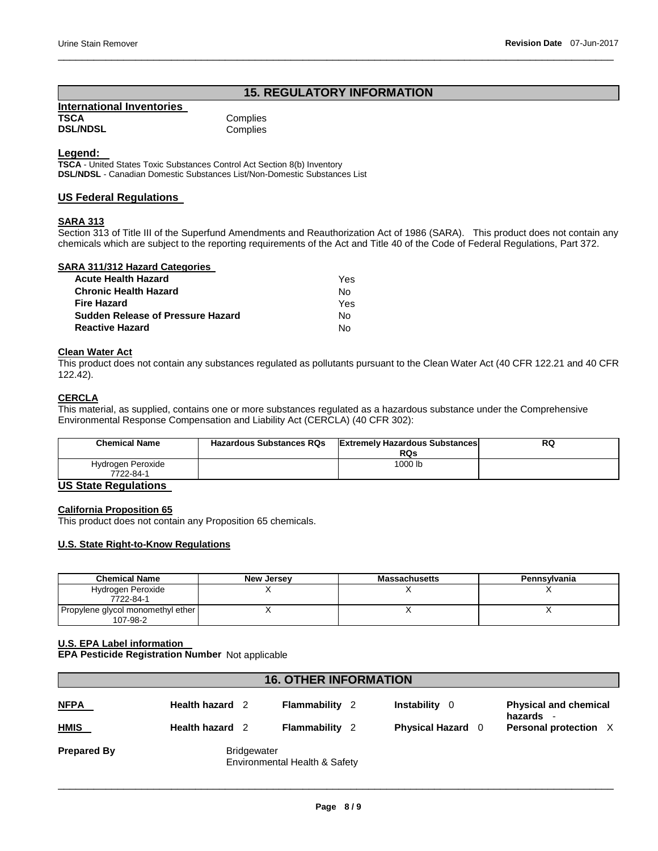# **15. REGULATORY INFORMATION**

\_\_\_\_\_\_\_\_\_\_\_\_\_\_\_\_\_\_\_\_\_\_\_\_\_\_\_\_\_\_\_\_\_\_\_\_\_\_\_\_\_\_\_\_\_\_\_\_\_\_\_\_\_\_\_\_\_\_\_\_\_\_\_\_\_\_\_\_\_\_\_\_\_\_\_\_\_\_\_\_\_\_\_\_\_\_\_\_\_\_\_\_\_

**International Inventories TSCA** Complies<br> **DSL/NDSL** Complies

Complies

## **Legend:**

**TSCA** - United States Toxic Substances Control Act Section 8(b) Inventory **DSL/NDSL** - Canadian Domestic Substances List/Non-Domestic Substances List

## **US Federal Regulations**

## **SARA 313**

Section 313 of Title III of the Superfund Amendments and Reauthorization Act of 1986 (SARA). This product does not contain any chemicals which are subject to the reporting requirements of the Act and Title 40 of the Code of Federal Regulations, Part 372.

## **SARA 311/312 Hazard Categories**

| <b>Acute Health Hazard</b>               | Yes |
|------------------------------------------|-----|
| <b>Chronic Health Hazard</b>             | Nο  |
| <b>Fire Hazard</b>                       | Yes |
| <b>Sudden Release of Pressure Hazard</b> | No. |
| <b>Reactive Hazard</b>                   | N٥  |

## **Clean Water Act**

This product does not contain any substances regulated as pollutants pursuant to the Clean Water Act (40 CFR 122.21 and 40 CFR 122.42).

# **CERCLA**

This material, as supplied, contains one or more substances regulated as a hazardous substance under the Comprehensive Environmental Response Compensation and Liability Act (CERCLA) (40 CFR 302):

| <b>Chemical Name</b>           | <b>Hazardous Substances RQs</b> | <b>Extremely Hazardous Substances</b><br>RQs | <b>RQ</b> |
|--------------------------------|---------------------------------|----------------------------------------------|-----------|
| Hydrogen Peroxide<br>7722-84-1 |                                 | 1000 lb                                      |           |

# **US State Regulations**

#### **California Proposition 65**

This product does not contain any Proposition 65 chemicals.

### **U.S. State Right-to-Know Regulations**

| <b>Chemical Name</b>              | <b>New Jersey</b> | <b>Massachusetts</b> | Pennsylvania |
|-----------------------------------|-------------------|----------------------|--------------|
| Hydrogen Peroxide<br>7722-84-1    |                   |                      |              |
| Propylene glycol monomethyl ether |                   |                      |              |
| 107-98-2                          |                   |                      |              |

### **U.S. EPA Label information**

**EPA Pesticide Registration Number** Not applicable

| <b>16. OTHER INFORMATION</b> |                                              |                               |                          |                                         |  |
|------------------------------|----------------------------------------------|-------------------------------|--------------------------|-----------------------------------------|--|
| <b>NFPA</b>                  | Health hazard 2                              | Flammability<br>- 2           | <b>Instability</b><br>-0 | <b>Physical and chemical</b><br>hazards |  |
| <b>HMIS</b>                  | Health hazard 2                              | Flammability<br>$\mathcal{P}$ | <b>Physical Hazard</b> 0 | Personal protection X                   |  |
| <b>Prepared By</b>           | Bridgewater<br>Environmental Health & Safety |                               |                          |                                         |  |